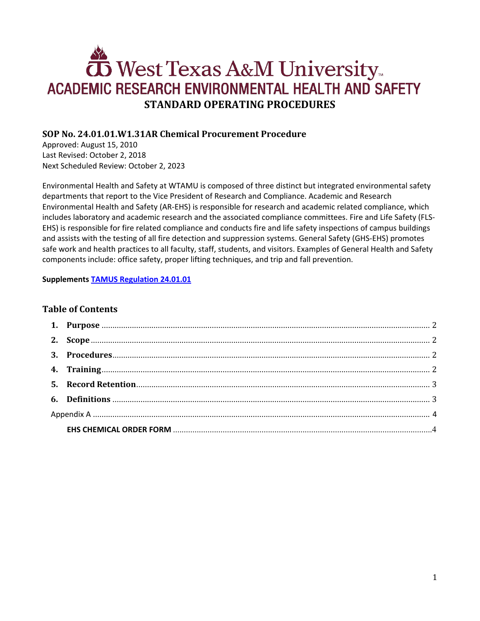# West Texas A&M University **ACADEMIC RESEARCH ENVIRONMENTAL HEALTH AND SAFETY STANDARD OPERATING PROCEDURES**

# **SOP No. 24.01.01.W1.31AR Chemical Procurement Procedure**

Approved: August 15, 2010 Last Revised: October 2, 2018 Next Scheduled Review: October 2, 2023

Environmental Health and Safety at WTAMU is composed of three distinct but integrated environmental safety departments that report to the Vice President of Research and Compliance. Academic and Research Environmental Health and Safety (AR-EHS) is responsible for research and academic related compliance, which includes laboratory and academic research and the associated compliance committees. Fire and Life Safety (FLS-EHS) is responsible for fire related compliance and conducts fire and life safety inspections of campus buildings and assists with the testing of all fire detection and suppression systems. General Safety (GHS-EHS) promotes safe work and health practices to all faculty, staff, students, and visitors. Examples of General Health and Safety components include: office safety, proper lifting techniques, and trip and fall prevention.

#### **Supplements [TAMUS Regulation 24.01.01](http://policies.tamus.edu/24-01-01.pdf)**

## **Table of Contents**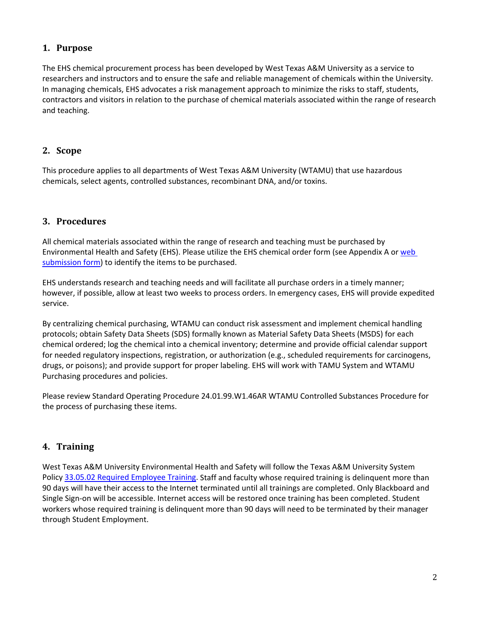## <span id="page-1-0"></span>**1. Purpose**

The EHS chemical procurement process has been developed by West Texas A&M University as a service to researchers and instructors and to ensure the safe and reliable management of chemicals within the University. In managing chemicals, EHS advocates a risk management approach to minimize the risks to staff, students, contractors and visitors in relation to the purchase of chemical materials associated within the range of research and teaching.

### <span id="page-1-1"></span>**2. Scope**

This procedure applies to all departments of West Texas A&M University (WTAMU) that use hazardous chemicals, select agents, controlled substances, recombinant DNA, and/or toxins.

## <span id="page-1-2"></span>**3. Procedures**

All chemical materials associated within the range of research and teaching must be purchased by Environmental Health and Safety (EHS). Please utilize the EHS chemical order form (see Appendix A or [web](http://www.wtamu.edu/environmental_safety/chemical-ordering-form.aspx)  [submission form\)](http://www.wtamu.edu/environmental_safety/chemical-ordering-form.aspx) to identify the items to be purchased.

EHS understands research and teaching needs and will facilitate all purchase orders in a timely manner; however, if possible, allow at least two weeks to process orders. In emergency cases, EHS will provide expedited service.

By centralizing chemical purchasing, WTAMU can conduct risk assessment and implement chemical handling protocols; obtain Safety Data Sheets (SDS) formally known as Material Safety Data Sheets (MSDS) for each chemical ordered; log the chemical into a chemical inventory; determine and provide official calendar support for needed regulatory inspections, registration, or authorization (e.g., scheduled requirements for carcinogens, drugs, or poisons); and provide support for proper labeling. EHS will work with TAMU System and WTAMU Purchasing procedures and policies.

Please review Standard Operating Procedure 24.01.99.W1.46AR WTAMU Controlled Substances Procedure for the process of purchasing these items.

## <span id="page-1-3"></span>**4. Training**

West Texas A&M University Environmental Health and Safety will follow the Texas A&M University System Polic[y 33.05.02 Required Employee Training.](http://policies.tamus.edu/33-05-02.pdf) Staff and faculty whose required training is delinquent more than 90 days will have their access to the Internet terminated until all trainings are completed. Only Blackboard and Single Sign-on will be accessible. Internet access will be restored once training has been completed. Student workers whose required training is delinquent more than 90 days will need to be terminated by their manager through Student Employment.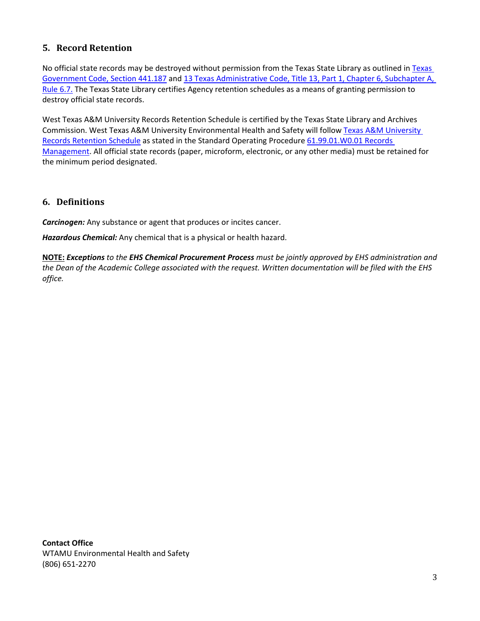## <span id="page-2-0"></span>**5. Record Retention**

No official state records may be destroyed without permission from the [Texas](http://www.statutes.legis.state.tx.us/?link=GV) State Library as outlined in Texas [Government Code, Section 441.187](http://www.statutes.legis.state.tx.us/?link=GV) an[d 13 Texas Administrative Code, Title 13,](http://txrules.elaws.us/rule/title13_chapter6_sec.6.7) Part 1, Chapter 6, Subchapter A, [Rule 6.7.](http://txrules.elaws.us/rule/title13_chapter6_sec.6.7) The Texas State Library certifies Agency retention schedules as a means of granting permission to destroy official state records.

West Texas A&M University Records Retention Schedule is certified by the Texas State Library and Archives Commission. West Texas A&M University Environmental Health and Safety will follow [Texas A&M](https://www.wtamu.edu/webres/File/Risk%20Management/System-Records-Retention-Schedule.pdf) University [Records Retention Schedule](https://www.wtamu.edu/webres/File/Risk%20Management/System-Records-Retention-Schedule.pdf) as stated in the Standard Operating Procedure [61.99.01.W0.01 Records](http://www.wtamu.edu/webres/File/Risk%20Management/61.99.01.W0.01_PROCEDURE_Records%20Management_FINAL%20SIGNED.pdf)  [Management.](http://www.wtamu.edu/webres/File/Risk%20Management/61.99.01.W0.01_PROCEDURE_Records%20Management_FINAL%20SIGNED.pdf) All official state records (paper, microform, electronic, or any other media) must be retained for the minimum period designated.

#### <span id="page-2-1"></span>**6. Definitions**

*Carcinogen:* Any substance or agent that produces or incites cancer.

*Hazardous Chemical:* Any chemical that is a physical or health hazard.

**NOTE:** *Exceptions to the EHS Chemical Procurement Process must be jointly approved by EHS administration and the Dean of the Academic College associated with the request. Written documentation will be filed with the EHS office.*

**Contact Office** WTAMU Environmental Health and Safety (806) 651-2270